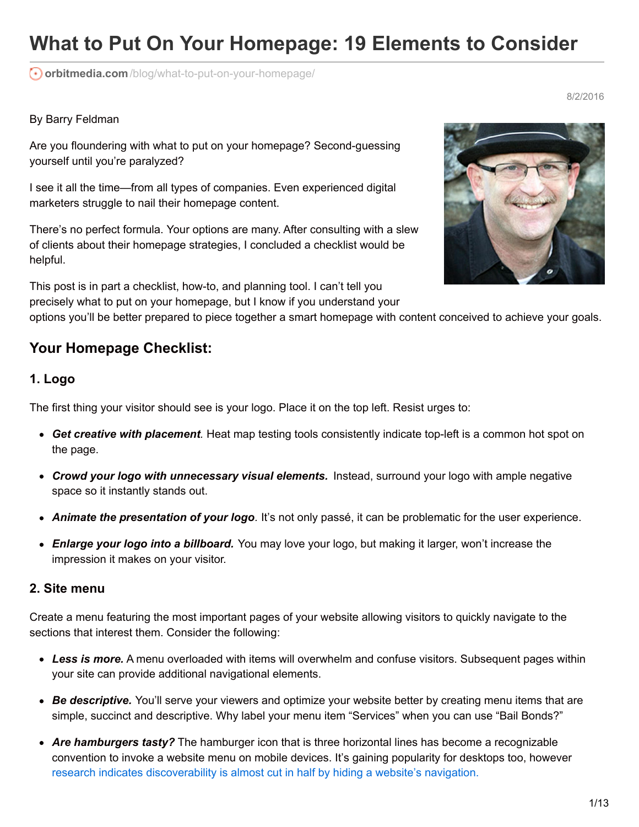# **What to Put On Your Homepage: 19 Elements to Consider**

**orbitmedia.com**[/blog/what-to-put-on-your-homepage/](https://www.orbitmedia.com/blog/what-to-put-on-your-homepage/)

#### By Barry Feldman

Are you floundering with what to put on your homepage? Second-guessing yourself until you're paralyzed?

I see it all the time—from all types of companies. Even experienced digital marketers struggle to nail their homepage content.

There's no perfect formula. Your options are many. After consulting with a slew of clients about their homepage strategies, I concluded a checklist would be helpful.

This post is in part a checklist, how-to, and planning tool. I can't tell you precisely what to put on your homepage, but I know if you understand your



8/2/2016

options you'll be better prepared to piece together a smart homepage with content conceived to achieve your goals.

# **Your Homepage Checklist:**

#### **1. Logo**

The first thing your visitor should see is your logo. Place it on the top left. Resist urges to:

- *Get creative with placement.* Heat map testing tools consistently indicate top-left is a common hot spot on the page.
- *Crowd your logo with unnecessary visual elements.* Instead, surround your logo with ample negative space so it instantly stands out.
- *Animate the presentation of your logo.* It's not only passé, it can be problematic for the user experience.
- *Enlarge your logo into a billboard.* You may love your logo, but making it larger, won't increase the impression it makes on your visitor.

#### **2. Site menu**

Create a menu featuring the most important pages of your website allowing visitors to quickly navigate to the sections that interest them. Consider the following:

- *Less is more.* A menu overloaded with items will overwhelm and confuse visitors. Subsequent pages within your site can provide additional navigational elements.
- *Be descriptive.* You'll serve your viewers and optimize your website better by creating menu items that are simple, succinct and descriptive. Why label your menu item "Services" when you can use "Bail Bonds?"
- *Are hamburgers tasty?* The hamburger icon that is three horizontal lines has become a recognizable convention to invoke a website menu on mobile devices. It's gaining popularity for desktops too, however research indicates [discoverability](https://www.nngroup.com/articles/hamburger-menus/) is almost cut in half by hiding a website's navigation.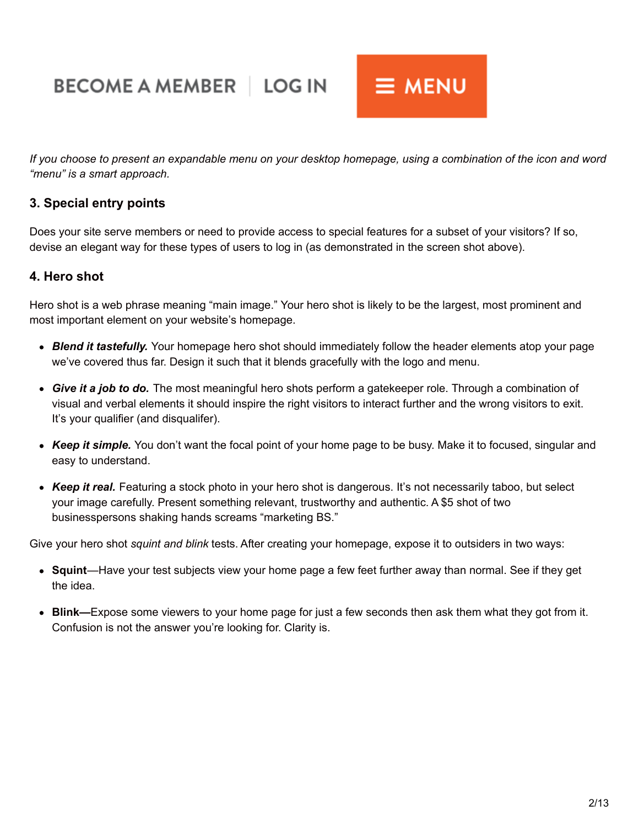# **BECOME A MEMBER | LOG IN**



If you choose to present an expandable menu on your desktop homepage, using a combination of the icon and word *"menu" is a smart approach.*

# **3. Special entry points**

Does your site serve members or need to provide access to special features for a subset of your visitors? If so, devise an elegant way for these types of users to log in (as demonstrated in the screen shot above).

# **4. Hero shot**

Hero shot is a web phrase meaning "main image." Your hero shot is likely to be the largest, most prominent and most important element on your website's homepage.

- *Blend it tastefully.* Your homepage hero shot should immediately follow the header elements atop your page we've covered thus far. Design it such that it blends gracefully with the logo and menu.
- *Give it a job to do.* The most meaningful hero shots perform a gatekeeper role. Through a combination of visual and verbal elements it should inspire the right visitors to interact further and the wrong visitors to exit. It's your qualifier (and disqualifer).
- *Keep it simple.* You don't want the focal point of your home page to be busy. Make it to focused, singular and easy to understand.
- *Keep it real.* Featuring a stock photo in your hero shot is dangerous. It's not necessarily taboo, but select your image carefully. Present something relevant, trustworthy and authentic. A \$5 shot of two businesspersons shaking hands screams "marketing BS."

Give your hero shot *squint and blink* tests. After creating your homepage, expose it to outsiders in two ways:

- **Squint**—Have your test subjects view your home page a few feet further away than normal. See if they get the idea.
- **Blink—**Expose some viewers to your home page for just a few seconds then ask them what they got from it. Confusion is not the answer you're looking for. Clarity is.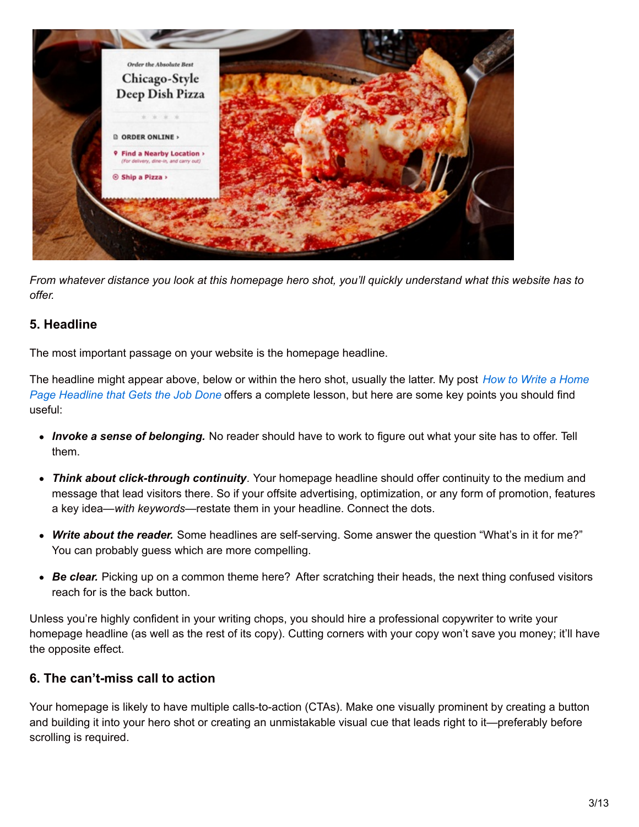

From whatever distance you look at this homepage hero shot, you'll quickly understand what this website has to *offer.*

# **5. Headline**

The most important passage on your website is the homepage headline.

The headline might appear above, below or within the hero shot, usually the latter. My post *How to Write a Home Page Headline that Gets the Job Done* offers a [complete](http://feldmancreative.com/2014/12/how-to-write-a-home-page-headline/) lesson, but here are some key points you should find useful:

- *Invoke a sense of belonging.* No reader should have to work to figure out what your site has to offer. Tell them.
- *Think about click-through continuity.* Your homepage headline should offer continuity to the medium and message that lead visitors there. So if your offsite advertising, optimization, or any form of promotion, features a key idea—*with keywords*—restate them in your headline. Connect the dots.
- *Write about the reader.* Some headlines are self-serving. Some answer the question "What's in it for me?" You can probably guess which are more compelling.
- *Be clear.* Picking up on a common theme here? After scratching their heads, the next thing confused visitors reach for is the back button.

Unless you're highly confident in your writing chops, you should hire a professional copywriter to write your homepage headline (as well as the rest of its copy). Cutting corners with your copy won't save you money; it'll have the opposite effect.

# **6. The can't-miss call to action**

Your homepage is likely to have multiple calls-to-action (CTAs). Make one visually prominent by creating a button and building it into your hero shot or creating an unmistakable visual cue that leads right to it—preferably before scrolling is required.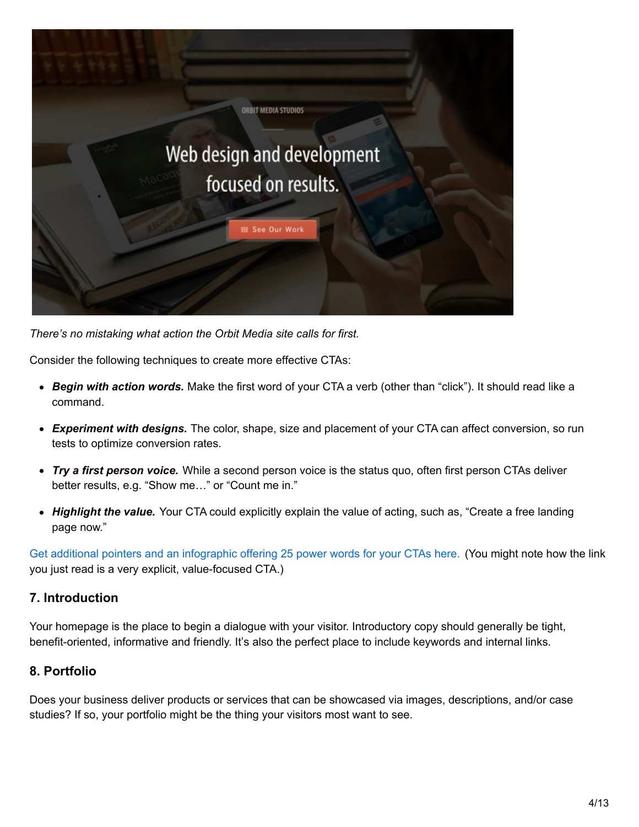

*There's no mistaking what action the Orbit Media site calls for first.*

Consider the following techniques to create more effective CTAs:

- *Begin with action words.* Make the first word of your CTA a verb (other than "click"). It should read like a command.
- *Experiment with designs.* The color, shape, size and placement of your CTA can affect conversion, so run tests to optimize conversion rates.
- *Try a first person voice.* While a second person voice is the status quo, often first person CTAs deliver better results, e.g. "Show me…" or "Count me in."
- *Highlight the value.* Your CTA could explicitly explain the value of acting, such as, "Create a free landing page now."

Get additional pointers and an [infographic](http://feldmancreative.com/2016/04/increase-your-conversion-rate/) offering 25 power words for your CTAs here. (You might note how the link you just read is a very explicit, value-focused CTA.)

# **7. Introduction**

Your homepage is the place to begin a dialogue with your visitor. Introductory copy should generally be tight, benefit-oriented, informative and friendly. It's also the perfect place to include keywords and internal links.

# **8. Portfolio**

Does your business deliver products or services that can be showcased via images, descriptions, and/or case studies? If so, your portfolio might be the thing your visitors most want to see.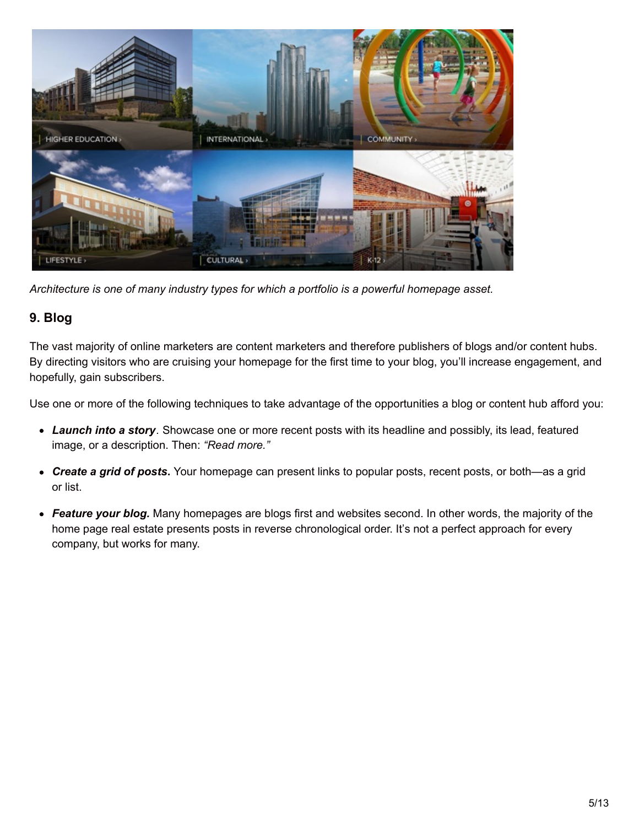

*Architecture is one of many industry types for which a portfolio is a powerful homepage asset.*

# **9. Blog**

The vast majority of online marketers are content marketers and therefore publishers of blogs and/or content hubs. By directing visitors who are cruising your homepage for the first time to your blog, you'll increase engagement, and hopefully, gain subscribers.

Use one or more of the following techniques to take advantage of the opportunities a blog or content hub afford you:

- *Launch into a story.* Showcase one or more recent posts with its headline and possibly, its lead, featured image, or a description. Then: *"Read more."*
- *Create a grid of posts***.** Your homepage can present links to popular posts, recent posts, or both—as a grid or list.
- *Feature your blog.* Many homepages are blogs first and websites second. In other words, the majority of the home page real estate presents posts in reverse chronological order. It's not a perfect approach for every company, but works for many.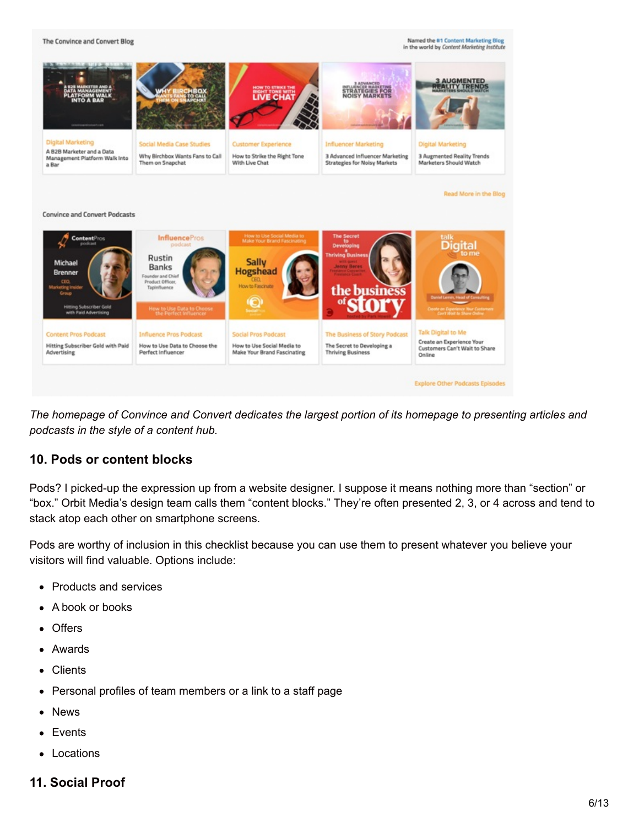The Convince and Convert Blog

**Named the #1 Content Marketing Blog** in the world by Content Marketing Inst.



The homepage of Convince and Convert dedicates the largest portion of its homepage to presenting articles and *podcasts in the style of a content hub.*

# **10. Pods or content blocks**

Pods? I picked-up the expression up from a website designer. I suppose it means nothing more than "section" or "box." Orbit Media's design team calls them "content blocks." They're often presented 2, 3, or 4 across and tend to stack atop each other on smartphone screens.

Pods are worthy of inclusion in this checklist because you can use them to present whatever you believe your visitors will find valuable. Options include:

- Products and services
- A book or books  $\bullet$
- **Offers**
- Awards
- Clients  $\bullet$
- Personal profiles of team members or a link to a staff page
- News  $\bullet$
- Events
- Locations

# **11. Social Proof**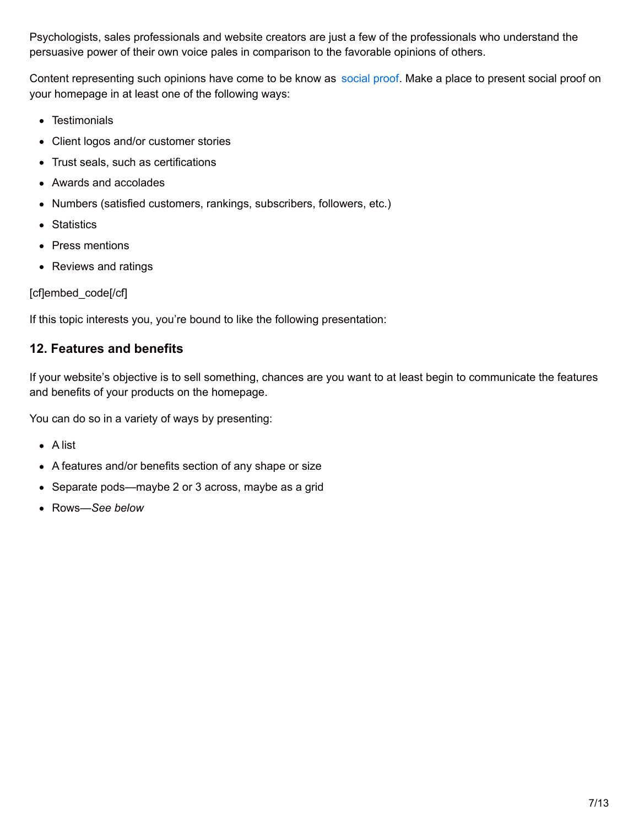Psychologists, sales professionals and website creators are just a few of the professionals who understand the persuasive power of their own voice pales in comparison to the favorable opinions of others.

Content representing such opinions have come to be know as [social](https://www.orbitmedia.com/blog/neuromarketing-web-design/) proof. Make a place to present social proof on your homepage in at least one of the following ways:

- Testimonials
- Client logos and/or customer stories
- Trust seals, such as certifications
- Awards and accolades
- Numbers (satisfied customers, rankings, subscribers, followers, etc.)
- Statistics
- Press mentions
- Reviews and ratings

[cf]embed\_code[/cf]

If this topic interests you, you're bound to like the following presentation:

# **12. Features and benefits**

If your website's objective is to sell something, chances are you want to at least begin to communicate the features and benefits of your products on the homepage.

You can do so in a variety of ways by presenting:

- A list
- A features and/or benefits section of any shape or size
- Separate pods—maybe 2 or 3 across, maybe as a grid
- Rows—*See below*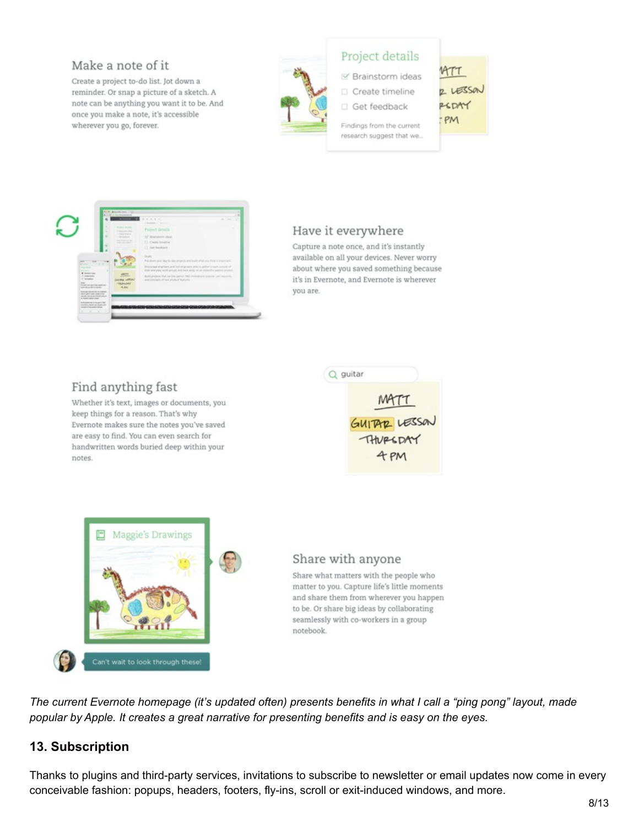# Make a note of it

Create a project to-do list. Jot down a reminder. Or snap a picture of a sketch. A note can be anything you want it to be. And once you make a note, it's accessible wherever you go, forever.



# Project details

Ⅳ Brainstorm ideas

Create timeline Get feedback

 $MTT$ 2 LESSON REDAY PM

Findings from the current research suggest that we...



# Have it everywhere

Capture a note once, and it's instantly available on all your devices. Never worry about where you saved something because it's in Evernote, and Evernote is wherever you are.

# Find anything fast

Whether it's text, images or documents, you keep things for a reason. That's why Evernote makes sure the notes you've saved are easy to find. You can even search for handwritten words buried deep within your notes.





# Share with anyone

Share what matters with the people who matter to you. Capture life's little moments and share them from wherever you happen to be. Or share big ideas by collaborating seamlessly with co-workers in a group notebook.

The current Evernote homepage (it's updated often) presents benefits in what I call a "ping pong" layout, made *popular by Apple. It creates a great narrative for presenting benefits and is easy on the eyes.*

# **13. Subscription**

Thanks to plugins and third-party services, invitations to subscribe to newsletter or email updates now come in every conceivable fashion: popups, headers, footers, fly-ins, scroll or exit-induced windows, and more.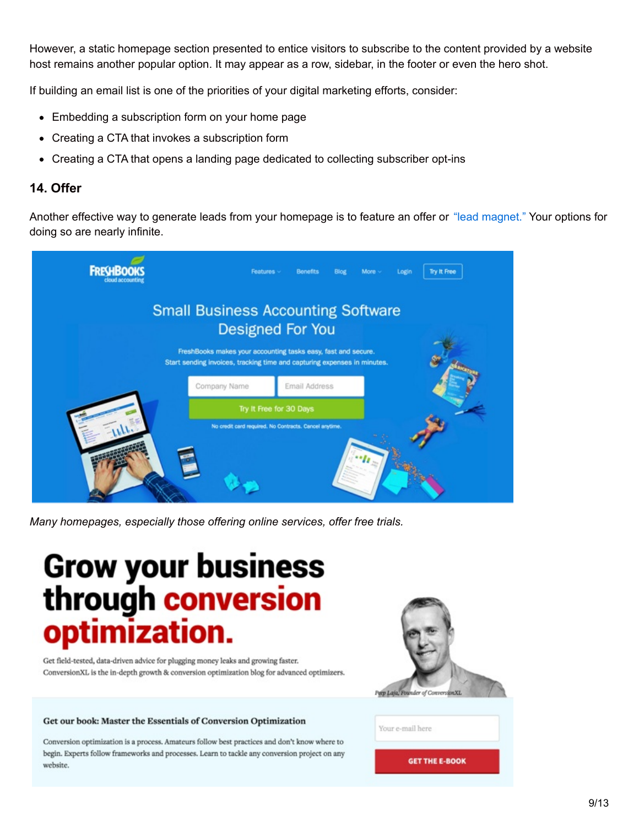However, a static homepage section presented to entice visitors to subscribe to the content provided by a website host remains another popular option. It may appear as a row, sidebar, in the footer or even the hero shot.

If building an email list is one of the priorities of your digital marketing efforts, consider:

- Embedding a subscription form on your home page
- Creating a CTA that invokes a subscription form
- Creating a CTA that opens a landing page dedicated to collecting subscriber opt-ins

#### **14. Offer**

Another effective way to generate leads from your homepage is to feature an offer or "lead [magnet."](http://feldmancreative.com/2016/05/what-is-a-lead-magnet/) Your options for doing so are nearly infinite.



*Many homepages, especially those offering online services, offer free trials.*

# **Grow your business** through conversion mization.

Get field-tested, data-driven advice for plugging money leaks and growing faster. ConversionXL is the in-depth growth & conversion optimization blog for advanced optimizers.

#### Get our book: Master the Essentials of Conversion Optimization

Conversion optimization is a process. Amateurs follow best practices and don't know where to begin. Experts follow frameworks and processes. Learn to tackle any conversion project on any website.



Your e-mail here

**GET THE E-BOOK**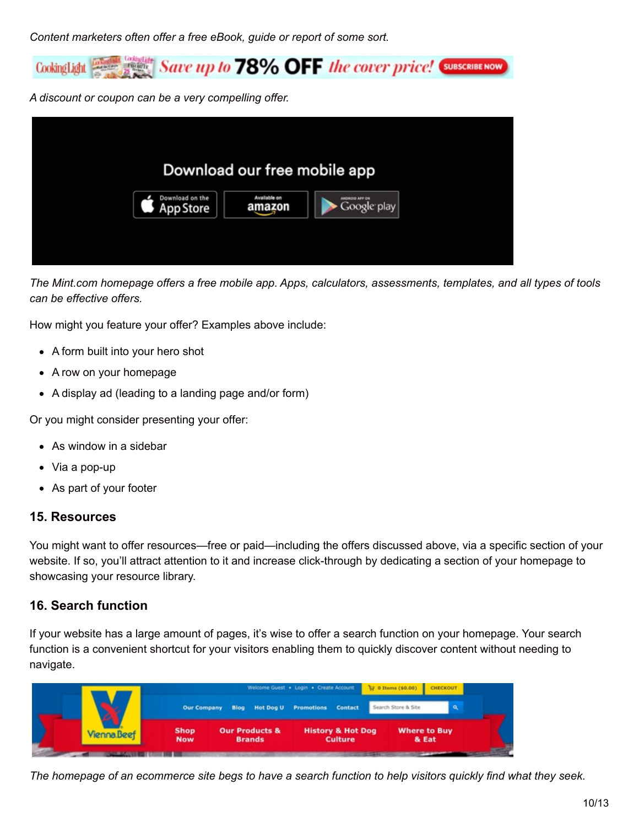*Content marketers often offer a free eBook, guide or report of some sort.*



*A discount or coupon can be a very compelling offer.*



The Mint.com homepage offers a free mobile app. Apps, calculators, assessments, templates, and all types of tools *can be effective offers.*

How might you feature your offer? Examples above include:

- A form built into your hero shot
- A row on your homepage
- A display ad (leading to a landing page and/or form)

Or you might consider presenting your offer:

- As window in a sidebar
- Via a pop-up
- As part of your footer

#### **15. Resources**

You might want to offer resources—free or paid—including the offers discussed above, via a specific section of your website. If so, you'll attract attention to it and increase click-through by dedicating a section of your homepage to showcasing your resource library.

# **16. Search function**

If your website has a large amount of pages, it's wise to offer a search function on your homepage. Your search function is a convenient shortcut for your visitors enabling them to quickly discover content without needing to navigate.

|                    | Welcome Guest . Login . Create Account<br>V o Items (\$0.00) CHECKOUT |                                            |                                                |                              |  |
|--------------------|-----------------------------------------------------------------------|--------------------------------------------|------------------------------------------------|------------------------------|--|
|                    |                                                                       |                                            | Our Company Blog Hot Dog U Promotions Contact  | Search Store & Site          |  |
| <b>Vienna</b> Beef | <b>Shop</b><br><b>Now</b>                                             | <b>Our Products &amp;</b><br><b>Brands</b> | <b>History &amp; Hot Dog</b><br><b>Culture</b> | <b>Where to Buy</b><br>& Eat |  |
|                    |                                                                       |                                            |                                                |                              |  |

The homepage of an ecommerce site begs to have a search function to help visitors quickly find what they seek.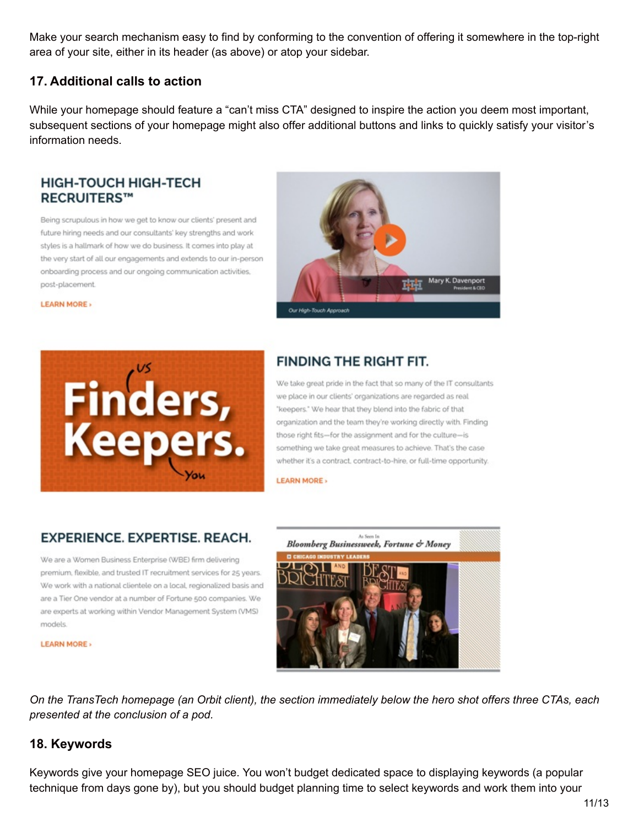Make your search mechanism easy to find by conforming to the convention of offering it somewhere in the top-right area of your site, either in its header (as above) or atop your sidebar.

# **17. Additional calls to action**

While your homepage should feature a "can't miss CTA" designed to inspire the action you deem most important, subsequent sections of your homepage might also offer additional buttons and links to quickly satisfy your visitor's information needs.

# **HIGH-TOUCH HIGH-TECH RECRUITERS™**

Being scrupulous in how we get to know our clients' present and future hiring needs and our consultants' key strengths and work styles is a hallmark of how we do business. It comes into play at the very start of all our engagements and extends to our in-person onboarding process and our ongoing communication activities, post-placement



**LEARN MORE** 



# **FINDING THE RIGHT FIT.**

We take great pride in the fact that so many of the IT consultants we place in our clients' organizations are regarded as real "keepers." We hear that they blend into the fabric of that organization and the team they're working directly with. Finding those right fits-for the assignment and for the culture-is something we take great measures to achieve. That's the case whether it's a contract, contract-to-hire, or full-time opportunity.

**LEARN MORE** 

# **EXPERIENCE, EXPERTISE, REACH.**

We are a Women Business Enterprise (WBE) firm delivering premium, flexible, and trusted IT recruitment services for 25 years. We work with a national clientele on a local, regionalized basis and are a Tier One vendor at a number of Fortune 500 companies. We are experts at working within Vendor Management System (VMS) models

**LEARN MORE** 



On the TransTech homepage (an Orbit client), the section immediately below the hero shot offers three CTAs, each *presented at the conclusion of a pod.*

# **18. Keywords**

Keywords give your homepage SEO juice. You won't budget dedicated space to displaying keywords (a popular technique from days gone by), but you should budget planning time to select keywords and work them into your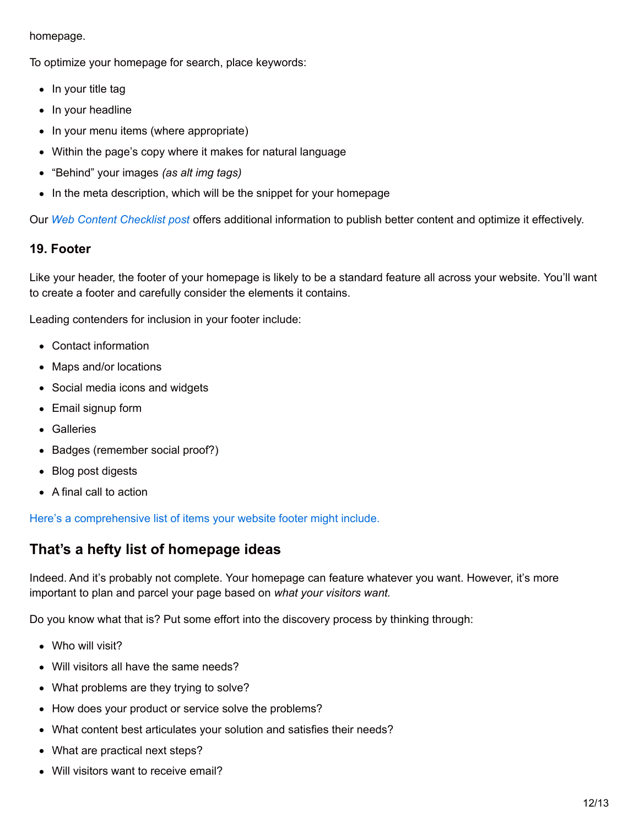#### homepage.

To optimize your homepage for search, place keywords:

- $\bullet$  In your title tag
- In your headline
- In your menu items (where appropriate)
- Within the page's copy where it makes for natural language
- "Behind" your images *(as alt img tags)*
- In the meta description, which will be the snippet for your homepage

Our *Web Content [Checklist](https://www.orbitmedia.com/blog/web-content-checklist-17-ways-to-publish-better-content/) post* offers additional information to publish better content and optimize it effectively.

# **19. Footer**

Like your header, the footer of your homepage is likely to be a standard feature all across your website. You'll want to create a footer and carefully consider the elements it contains.

Leading contenders for inclusion in your footer include:

- Contact information
- Maps and/or locations
- Social media icons and widgets
- Email signup form
- Galleries
- Badges (remember social proof?)
- Blog post digests
- A final call to action

Here's a [comprehensive](https://www.orbitmedia.com/blog/website-footer-design-best-practices/) list of items your website footer might include.

# **That's a hefty list of homepage ideas**

Indeed. And it's probably not complete. Your homepage can feature whatever you want. However, it's more important to plan and parcel your page based on *what your visitors want.*

Do you know what that is? Put some effort into the discovery process by thinking through:

- Who will visit?
- Will visitors all have the same needs?
- What problems are they trying to solve?
- How does your product or service solve the problems?
- What content best articulates your solution and satisfies their needs?
- What are practical next steps?
- Will visitors want to receive email?